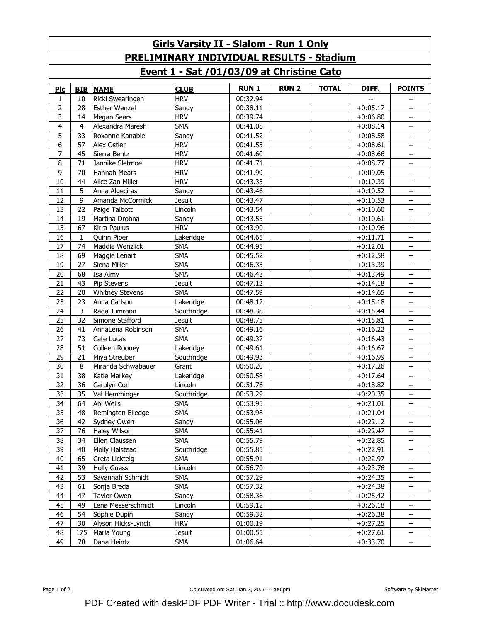| <b>Girls Varsity II - Slalom - Run 1 Only</b>   |                |                        |             |             |              |              |            |                          |  |  |  |  |
|-------------------------------------------------|----------------|------------------------|-------------|-------------|--------------|--------------|------------|--------------------------|--|--|--|--|
| <b>PRELIMINARY INDIVIDUAL RESULTS - Stadium</b> |                |                        |             |             |              |              |            |                          |  |  |  |  |
| Event 1 - Sat /01/03/09 at Christine Cato       |                |                        |             |             |              |              |            |                          |  |  |  |  |
| <b>PIc</b>                                      | <b>BIB</b>     | <b>NAME</b>            | <b>CLUB</b> | <b>RUN1</b> | <b>RUN 2</b> | <b>TOTAL</b> | DIFF.      | <b>POINTS</b>            |  |  |  |  |
| 1                                               | 10             | Ricki Swearingen       | <b>HRV</b>  | 00:32.94    |              |              |            |                          |  |  |  |  |
| $\overline{2}$                                  | 28             | <b>Esther Wenzel</b>   | Sandy       | 00:38.11    |              |              | $+0:05.17$ | --                       |  |  |  |  |
| 3                                               | 14             | <b>Megan Sears</b>     | <b>HRV</b>  | 00:39.74    |              |              | $+0:06.80$ | $-$                      |  |  |  |  |
| 4                                               | $\overline{4}$ | Alexandra Maresh       | <b>SMA</b>  | 00:41.08    |              |              | $+0:08.14$ | $-$                      |  |  |  |  |
| $\overline{5}$                                  | 33             | Roxanne Kanable        | Sandy       | 00:41.52    |              |              | $+0:08.58$ | --                       |  |  |  |  |
| 6                                               | 57             | Alex Ostler            | <b>HRV</b>  | 00:41.55    |              |              | $+0:08.61$ | --                       |  |  |  |  |
| 7                                               | 45             | Sierra Bentz           | <b>HRV</b>  | 00:41.60    |              |              | $+0:08.66$ | $-\,$ $-$                |  |  |  |  |
| 8                                               | 71             | Jannike Sletmoe        | <b>HRV</b>  | 00:41.71    |              |              | $+0:08.77$ | $-$                      |  |  |  |  |
| 9                                               | 70             | Hannah Mears           | <b>HRV</b>  | 00:41.99    |              |              | $+0:09.05$ | --                       |  |  |  |  |
| 10                                              | 44             | Alice Zan Miller       | <b>HRV</b>  | 00:43.33    |              |              | $+0:10.39$ | --                       |  |  |  |  |
| 11                                              | 5              | Anna Algeciras         | Sandy       | 00:43.46    |              |              | $+0:10.52$ | $-$                      |  |  |  |  |
| 12                                              | 9              | Amanda McCormick       | Jesuit      | 00:43.47    |              |              | $+0:10.53$ | $-$                      |  |  |  |  |
| 13                                              | 22             | Paige Talbott          | Lincoln     | 00:43.54    |              |              | $+0:10.60$ | $-$                      |  |  |  |  |
| 14                                              | 19             | Martina Drobna         | Sandy       | 00:43.55    |              |              | $+0:10.61$ | $\overline{\phantom{a}}$ |  |  |  |  |
| 15                                              | 67             | Kirra Paulus           | <b>HRV</b>  | 00:43.90    |              |              | $+0:10.96$ | $-$                      |  |  |  |  |
| 16                                              | $\mathbf{1}$   | Quinn Piper            | Lakeridge   | 00:44.65    |              |              | $+0:11.71$ | $\overline{\phantom{m}}$ |  |  |  |  |
| 17                                              | 74             | Maddie Wenzlick        | <b>SMA</b>  | 00:44.95    |              |              | $+0:12.01$ | $\overline{\phantom{m}}$ |  |  |  |  |
| 18                                              | 69             | Maggie Lenart          | <b>SMA</b>  | 00:45.52    |              |              | $+0:12.58$ | $\overline{\phantom{m}}$ |  |  |  |  |
| 19                                              | 27             | Siena Miller           | <b>SMA</b>  | 00:46.33    |              |              | $+0:13.39$ | $-\!$                    |  |  |  |  |
| 20                                              | 68             | Isa Almy               | <b>SMA</b>  | 00:46.43    |              |              | $+0:13.49$ | $\overline{\phantom{m}}$ |  |  |  |  |
| 21                                              | 43             | Pip Stevens            | Jesuit      | 00:47.12    |              |              | $+0:14.18$ | $-$                      |  |  |  |  |
| 22                                              | 20             | <b>Whitney Stevens</b> | <b>SMA</b>  | 00:47.59    |              |              | $+0:14.65$ | $\qquad \qquad -$        |  |  |  |  |
| 23                                              | 23             | Anna Carlson           | Lakeridge   | 00:48.12    |              |              | $+0:15.18$ | $-\!$                    |  |  |  |  |
| 24                                              | 3              | Rada Jumroon           | Southridge  | 00:48.38    |              |              | $+0:15.44$ | $-$                      |  |  |  |  |
| 25                                              | 32             | Simone Stafford        | Jesuit      | 00:48.75    |              |              | $+0:15.81$ | $-$                      |  |  |  |  |
| 26                                              | 41             | AnnaLena Robinson      | <b>SMA</b>  | 00:49.16    |              |              | $+0:16.22$ | $-$                      |  |  |  |  |
| 27                                              | 73             | Cate Lucas             | <b>SMA</b>  | 00:49.37    |              |              | $+0:16.43$ | --                       |  |  |  |  |
| 28                                              | 51             | Colleen Rooney         | Lakeridge   | 00:49.61    |              |              | $+0:16.67$ | $- -$                    |  |  |  |  |
| 29                                              | 21             | Miya Streuber          | Southridge  | 00:49.93    |              |              | $+0:16.99$ | $-$                      |  |  |  |  |
| 30                                              | 8              | Miranda Schwabauer     | Grant       | 00:50.20    |              |              | $+0:17.26$ | $-$                      |  |  |  |  |
| 31                                              | 38             | Katie Markey           | Lakeridge   | 00:50.58    |              |              | $+0:17.64$ | $-$                      |  |  |  |  |
| 32                                              | 36             | Carolyn Corl           | Lincoln     | 00:51.76    |              |              | $+0:18.82$ | $- -$                    |  |  |  |  |
| 33                                              | 35             | Val Hemminger          | Southridge  | 00:53.29    |              |              | $+0:20.35$ | --                       |  |  |  |  |
| 34                                              | 64             | Abi Wells              | <b>SMA</b>  | 00:53.95    |              |              | $+0:21.01$ |                          |  |  |  |  |
| 35                                              | 48             | Remington Elledge      | <b>SMA</b>  | 00:53.98    |              |              | $+0:21.04$ | --                       |  |  |  |  |
| 36                                              | 42             | Sydney Owen            | Sandy       | 00:55.06    |              |              | $+0:22.12$ | $-$                      |  |  |  |  |
| 37                                              | 76             | Haley Wilson           | <b>SMA</b>  | 00:55.41    |              |              | $+0:22.47$ | $-$                      |  |  |  |  |
| 38                                              | 34             | Ellen Claussen         | <b>SMA</b>  | 00:55.79    |              |              | $+0:22.85$ | $- -$                    |  |  |  |  |
| 39                                              | 40             | Molly Halstead         | Southridge  | 00:55.85    |              |              | $+0:22.91$ | $\overline{\phantom{a}}$ |  |  |  |  |
| 40                                              | 65             | Greta Lickteig         | <b>SMA</b>  | 00:55.91    |              |              | $+0:22.97$ | $\overline{\phantom{a}}$ |  |  |  |  |
| 41                                              | 39             | <b>Holly Guess</b>     | Lincoln     | 00:56.70    |              |              | $+0:23.76$ | $\overline{\phantom{a}}$ |  |  |  |  |
| 42                                              | 53             | Savannah Schmidt       | <b>SMA</b>  | 00:57.29    |              |              | $+0:24.35$ | $-\, -$                  |  |  |  |  |
| 43                                              | 61             | Sonja Breda            | <b>SMA</b>  | 00:57.32    |              |              | $+0:24.38$ | $\overline{\phantom{a}}$ |  |  |  |  |
| 44                                              | 47             | Taylor Owen            | Sandy       | 00:58.36    |              |              | $+0:25.42$ | --                       |  |  |  |  |
| 45                                              | 49             | Lena Messerschmidt     | Lincoln     | 00:59.12    |              |              | $+0:26.18$ | $-\, -$                  |  |  |  |  |
| 46                                              | 54             | Sophie Dupin           | Sandy       | 00:59.32    |              |              | $+0:26.38$ | --                       |  |  |  |  |
| 47                                              | 30             | Alyson Hicks-Lynch     | hrv         | 01:00.19    |              |              | $+0:27.25$ | $\overline{\phantom{a}}$ |  |  |  |  |
| 48                                              | 175            | Maria Young            | Jesuit      | 01:00.55    |              |              | $+0:27.61$ | $\overline{\phantom{a}}$ |  |  |  |  |
| 49                                              | 78             | Dana Heintz            | SMA         | 01:06.64    |              |              | $+0:33.70$ | $\overline{\phantom{a}}$ |  |  |  |  |